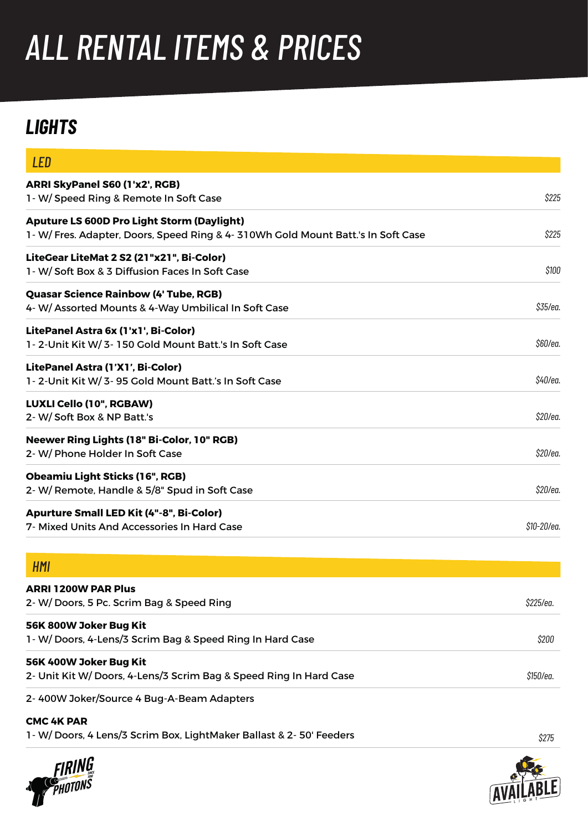# *ALL RENTAL ITEMS & PRICES*

# *LIGHTS*

| LED                                                                                                                                 |             |
|-------------------------------------------------------------------------------------------------------------------------------------|-------------|
| ARRI SkyPanel S60 (1'x2', RGB)<br>1- W/ Speed Ring & Remote In Soft Case                                                            | \$225       |
| <b>Aputure LS 600D Pro Light Storm (Daylight)</b><br>1-W/Fres. Adapter, Doors, Speed Ring & 4-310Wh Gold Mount Batt.'s In Soft Case | \$225       |
| LiteGear LiteMat 2 S2 (21"x21", Bi-Color)<br>1- W/ Soft Box & 3 Diffusion Faces In Soft Case                                        | \$100       |
| <b>Quasar Science Rainbow (4' Tube, RGB)</b><br>4- W/ Assorted Mounts & 4-Way Umbilical In Soft Case                                | \$35/ea.    |
| LitePanel Astra 6x (1'x1', Bi-Color)<br>1-2-Unit Kit W/3-150 Gold Mount Batt.'s In Soft Case                                        | \$60/ea.    |
| LitePanel Astra (1'X1', Bi-Color)<br>1-2-Unit Kit W/3-95 Gold Mount Batt.'s In Soft Case                                            | \$40/ea.    |
| LUXLI Cello (10", RGBAW)<br>2- W/Soft Box & NP Batt.'s                                                                              | \$20/ea.    |
| Neewer Ring Lights (18" Bi-Color, 10" RGB)<br>2- W/ Phone Holder In Soft Case                                                       | \$20/ea.    |
| <b>Obeamiu Light Sticks (16", RGB)</b><br>2- W/ Remote, Handle & 5/8" Spud in Soft Case                                             | \$20/ea.    |
| <b>Apurture Small LED Kit (4"-8", Bi-Color)</b><br>7- Mixed Units And Accessories In Hard Case                                      | \$10-20/ea. |
| HMI                                                                                                                                 |             |
| <b>ARRI 1200W PAR Plus</b><br>2- W/ Doors, 5 Pc. Scrim Bag & Speed Ring                                                             | \$225/ea.   |
| 56K 800W Joker Bug Kit<br>1-W/Doors, 4-Lens/3 Scrim Bag & Speed Ring In Hard Case                                                   | \$200       |
| 56K 400W Joker Bug Kit<br>2- Unit Kit W/ Doors, 4-Lens/3 Scrim Bag & Speed Ring In Hard Case                                        | \$150/ea.   |
| 2-400W Joker/Source 4 Bug-A-Beam Adapters                                                                                           |             |

#### **CMC 4K PAR**

1- W/ Doors, 4 Lens/3 Scrim Box, LightMaker Ballast & 2- 50' Feeders





*\$275*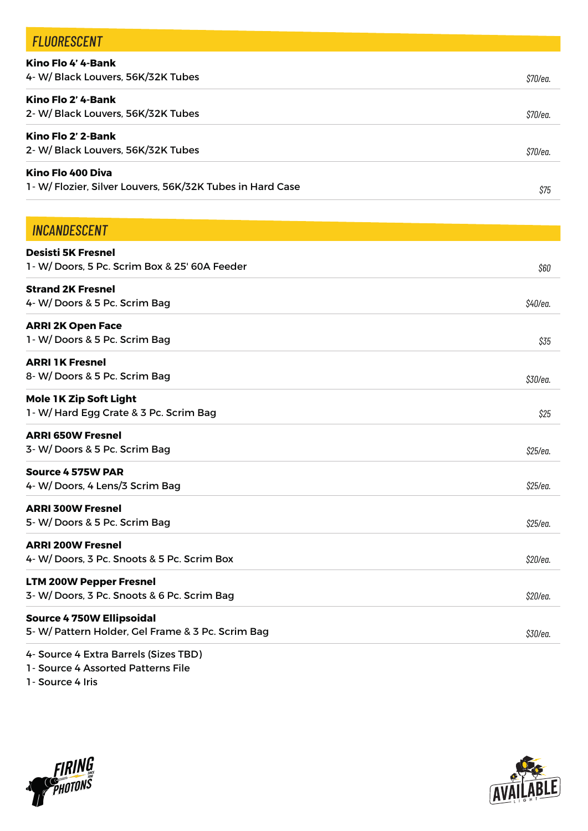| <b>FLUORESCENT</b>                                                             |          |
|--------------------------------------------------------------------------------|----------|
| Kino Flo 4' 4-Bank<br>4- W/ Black Louvers, 56K/32K Tubes                       | \$70/ea. |
| Kino Flo 2' 4-Bank                                                             |          |
| 2- W/ Black Louvers, 56K/32K Tubes                                             | \$70/ea. |
| Kino Flo 2' 2-Bank                                                             |          |
| 2- W/ Black Louvers, 56K/32K Tubes                                             | \$70/ea. |
| Kino Flo 400 Diva<br>1- W/ Flozier, Silver Louvers, 56K/32K Tubes in Hard Case |          |
|                                                                                | \$75     |
| <b>INCANDESCENT</b>                                                            |          |
| <b>Desisti 5K Fresnel</b>                                                      |          |
| 1 - W/ Doors, 5 Pc. Scrim Box & 25' 60A Feeder                                 | \$60     |
| <b>Strand 2K Fresnel</b>                                                       |          |
| 4- W/Doors & 5 Pc. Scrim Bag                                                   | \$40/ea. |
| ADDI 2K Onon Esco                                                              |          |

**ARRI 2K Open Face**  1- W/ Doors & 5 Pc. Scrim Bag

**ARRI 1K Fresnel**  8- W/ Doors & 5 Pc. Scrim Bag

**Mole 1K Zip Soft Light** 1- W/ Hard Egg Crate & 3 Pc. Scrim Bag

**ARRI 650W Fresnel** 3- W/ Doors & 5 Pc. Scrim Bag

**Source 4 575W PAR** 4- W/ Doors, 4 Lens/3 Scrim Bag

**ARRI 300W Fresnel** 5- W/ Doors & 5 Pc. Scrim Bag

**ARRI 200W Fresnel**  4- W/ Doors, 3 Pc. Snoots & 5 Pc. Scrim Box

**LTM 200W Pepper Fresnel** 3- W/ Doors, 3 Pc. Snoots & 6 Pc. Scrim Bag

#### **Source 4 750W Ellipsoidal**  5- W/ Pattern Holder, Gel Frame & 3 Pc. Scrim Bag

4- Source 4 Extra Barrels (Sizes TBD)

1- Source 4 Assorted Patterns File

1- Source 4 Iris





*\$35*

*\$30/ea.*

*\$25*

*\$25/ea.*

*\$25/ea.*

*\$25/ea.*

*\$20/ea.*

*\$20/ea.*

*\$30/ea.*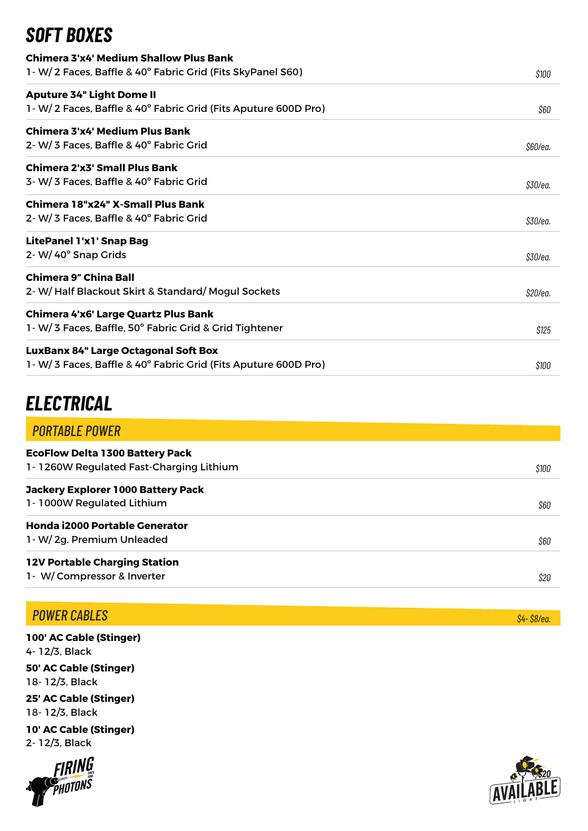# *SOFT BOXES*

| Chimera 3'x4' Medium Shallow Plus Bank                          |          |
|-----------------------------------------------------------------|----------|
| 1 - W/ 2 Faces, Baffle & 40° Fabric Grid (Fits SkyPanel S60)    | \$100    |
| <b>Aputure 34" Light Dome II</b>                                |          |
| 1 - W/2 Faces, Baffle & 40° Fabric Grid (Fits Aputure 600D Pro) | \$60     |
| Chimera 3'x4' Medium Plus Bank                                  |          |
| 2-W/3 Faces, Baffle & 40° Fabric Grid                           | \$60/ea. |
| <b>Chimera 2'x3' Small Plus Bank</b>                            |          |
| 3- W/3 Faces, Baffle & 40° Fabric Grid                          | \$30/ea. |
| Chimera 18"x24" X-Small Plus Bank                               |          |
| 2-W/3 Faces, Baffle & 40° Fabric Grid                           | \$30/ea. |
| <b>LitePanel 1'x1' Snap Bag</b>                                 |          |
| 2-W/40° Snap Grids                                              | \$30/ea. |
| <b>Chimera 9" China Ball</b>                                    |          |
| 2- W/Half Blackout Skirt & Standard/Mogul Sockets               | \$20/ea. |
| Chimera 4'x6' Large Quartz Plus Bank                            |          |
| 1 W/ 3 Faces, Baffle, 50° Fabric Grid & Grid Tightener          | \$125    |
| <b>LuxBanx 84" Large Octagonal Soft Box</b>                     |          |
| 1 W/ 3 Faces, Baffle & 40° Fabric Grid (Fits Aputure 600D Pro)  | \$100    |

# *ELECTRICAL*

| <b>PORTABLE POWER</b>                                                             |       |
|-----------------------------------------------------------------------------------|-------|
| <b>EcoFlow Delta 1300 Battery Pack</b><br>1-1260W Regulated Fast-Charging Lithium | \$100 |
| Jackery Explorer 1000 Battery Pack                                                |       |
| 1-1000W Regulated Lithium                                                         | \$60  |
| Honda i2000 Portable Generator                                                    |       |
| 1-W/2g. Premium Unleaded                                                          | \$60  |
| <b>12V Portable Charging Station</b>                                              |       |
| 1- W/Compressor & Inverter                                                        | \$20  |

## *POWER CABLES*

**100' AC Cable (Stinger)** 4- 12/3, Black **50' AC Cable (Stinger)** 18- 12/3, Black **25' AC Cable (Stinger)**

18- 12/3, Black

**10' AC Cable (Stinger)** 2- 12/3, Black





*\$4- \$8/ea.*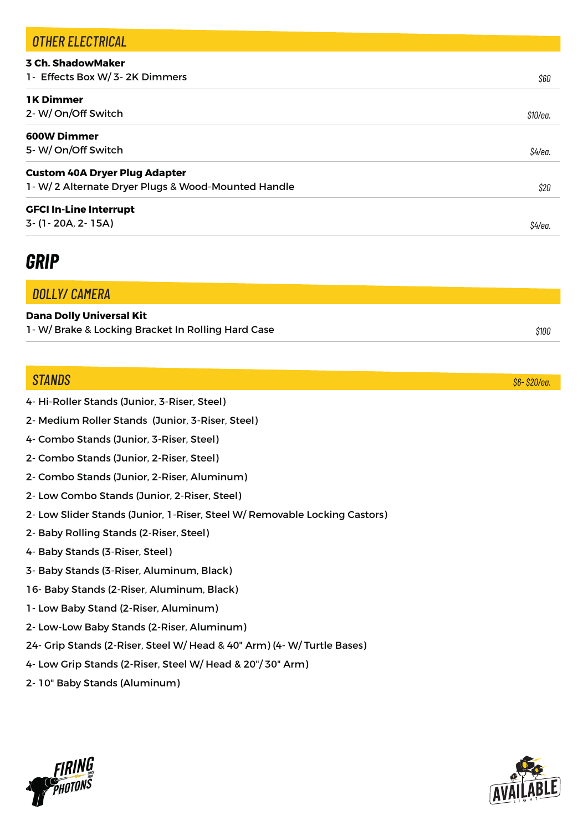| <b>OTHER ELECTRICAL</b>                                    |          |
|------------------------------------------------------------|----------|
| <b>3 Ch. ShadowMaker</b><br>1- Effects Box W/ 3-2K Dimmers | \$60     |
| <b>1K Dimmer</b>                                           |          |
| 2- W/On/Off Switch                                         | \$10/ea. |
| <b>600W Dimmer</b>                                         |          |
| 5-W/On/Off Switch                                          | \$4/ea.  |
| <b>Custom 40A Dryer Plug Adapter</b>                       |          |
| 1-W/2 Alternate Dryer Plugs & Wood-Mounted Handle          | \$20     |
| <b>GFCI In-Line Interrupt</b>                              |          |
| 3- (1-20A, 2-15A)                                          | S4/ea.   |

# *GRIP*

*DOLLY/ CAMERA*

#### **Dana Dolly Universal Kit**

| 1-W/Brake & Locking Bracket In Rolling Hard Case | \$10C |
|--------------------------------------------------|-------|
|--------------------------------------------------|-------|

### *STANDS*

- 4- Hi-Roller Stands (Junior, 3-Riser, Steel)
- 2- Medium Roller Stands (Junior, 3-Riser, Steel)
- 4- Combo Stands (Junior, 3-Riser, Steel)
- 2- Combo Stands (Junior, 2-Riser, Steel)
- 2- Combo Stands (Junior, 2-Riser, Aluminum)
- 2- Low Combo Stands (Junior, 2-Riser, Steel)
- 2- Low Slider Stands (Junior, 1-Riser, Steel W/ Removable Locking Castors)
- 2- Baby Rolling Stands (2-Riser, Steel)
- 4- Baby Stands (3-Riser, Steel)
- 3- Baby Stands (3-Riser, Aluminum, Black)
- 16- Baby Stands (2-Riser, Aluminum, Black)
- 1- Low Baby Stand (2-Riser, Aluminum)
- 2- Low-Low Baby Stands (2-Riser, Aluminum)
- 24- Grip Stands (2-Riser, Steel W/ Head & 40" Arm) (4- W/ Turtle Bases)
- 4- Low Grip Stands (2-Riser, Steel W/ Head & 20"/ 30" Arm)
- 2- 10" Baby Stands (Aluminum)





*\$6- \$20/ea.*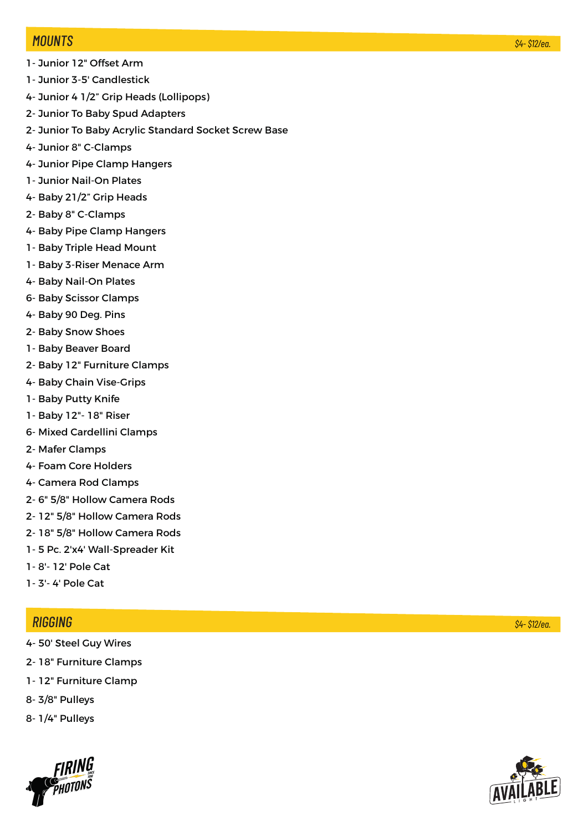#### *MOUNTS*

- 1- Junior 12" Offset Arm
- 1- Junior 3-5' Candlestick
- 4- Junior 4 1/2" Grip Heads (Lollipops)
- 2- Junior To Baby Spud Adapters
- 2- Junior To Baby Acrylic Standard Socket Screw Base
- 4- Junior 8" C-Clamps
- 4- Junior Pipe Clamp Hangers
- 1- Junior Nail-On Plates
- 4- Baby 21/2" Grip Heads
- 2- Baby 8" C-Clamps
- 4- Baby Pipe Clamp Hangers
- 1- Baby Triple Head Mount
- 1- Baby 3-Riser Menace Arm
- 4- Baby Nail-On Plates
- 6- Baby Scissor Clamps
- 4- Baby 90 Deg. Pins
- 2- Baby Snow Shoes
- 1- Baby Beaver Board
- 2- Baby 12" Furniture Clamps
- 4- Baby Chain Vise-Grips
- 1- Baby Putty Knife
- 1- Baby 12"- 18" Riser
- 6- Mixed Cardellini Clamps
- 2- Mafer Clamps
- 4- Foam Core Holders
- 4- Camera Rod Clamps
- 2- 6" 5/8" Hollow Camera Rods
- 2- 12" 5/8" Hollow Camera Rods
- 2- 18" 5/8" Hollow Camera Rods
- 1- 5 Pc. 2'x4' Wall-Spreader Kit
- 1- 8'- 12' Pole Cat
- 1- 3'- 4' Pole Cat

### *RIGGING*

- 4- 50' Steel Guy Wires
- 2- 18" Furniture Clamps
- 1- 12" Furniture Clamp
- 8- 3/8" Pulleys
- 8- 1/4" Pulleys



*\$4- \$12/ea.*

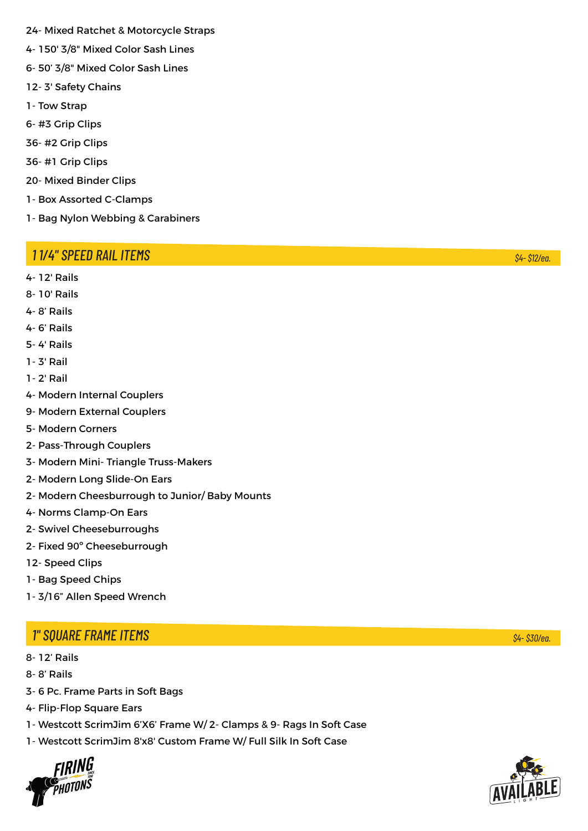- 24- Mixed Ratchet & Motorcycle Straps
- 4- 150' 3/8" Mixed Color Sash Lines
- 6- 50' 3/8" Mixed Color Sash Lines
- 12- 3' Safety Chains
- 1- Tow Strap
- 6- #3 Grip Clips
- 36- #2 Grip Clips
- 36- #1 Grip Clips
- 20- Mixed Binder Clips
- 1- Box Assorted C-Clamps
- 1- Bag Nylon Webbing & Carabiners

### *1 1/4" SPEED RAIL ITEMS*

4- 12' Rails

- 8- 10' Rails
- 4- 8' Rails
- 4- 6' Rails
- 5- 4' Rails
- 1- 3' Rail
- 1- 2' Rail
- 4- Modern Internal Couplers
- 9- Modern External Couplers
- 5- Modern Corners
- 2- Pass-Through Couplers
- 3- Modern Mini- Triangle Truss-Makers
- 2- Modern Long Slide-On Ears
- 2- Modern Cheesburrough to Junior/ Baby Mounts
- 4- Norms Clamp-On Ears
- 2- Swivel Cheeseburroughs
- 2- Fixed 90º Cheeseburrough
- 12- Speed Clips
- 1- Bag Speed Chips
- 1- 3/16" Allen Speed Wrench

### *1" SQUARE FRAME ITEMS*

- 8- 12' Rails
- 8- 8' Rails
- 3- 6 Pc. Frame Parts in Soft Bags
- 4- Flip-Flop Square Ears
- 1- Westcott ScrimJim 6'X6' Frame W/ 2- Clamps & 9- Rags In Soft Case
- 1- Westcott ScrimJim 8'x8' Custom Frame W/ Full Silk In Soft Case





*\$4- \$12/ea.*

*\$4- \$30/ea.*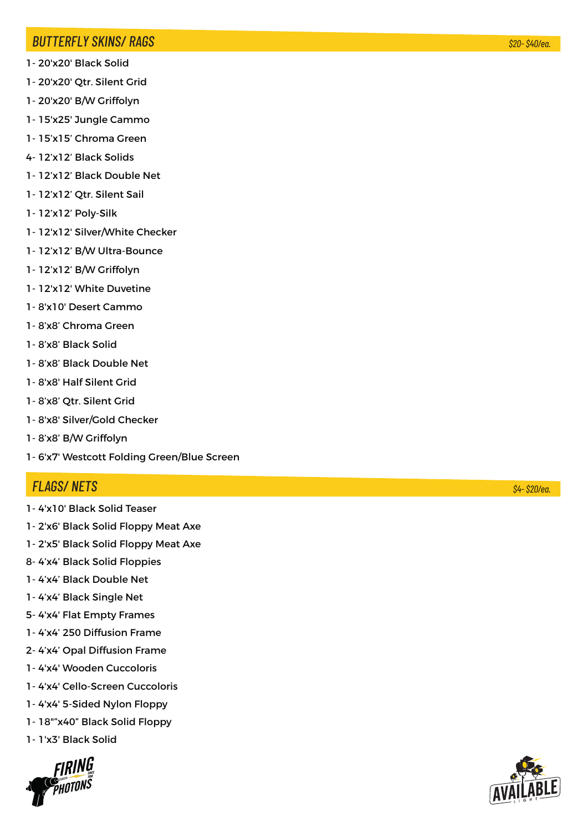#### *BUTTERFLY SKINS/ RAGS*

- 1- 20'x20' Black Solid
- 1- 20'x20' Qtr. Silent Grid
- 1- 20'x20' B/W Griffolyn
- 1- 15'x25' Jungle Cammo
- 1- 15'x15' Chroma Green
- 4- 12'x12' Black Solids
- 1- 12'x12' Black Double Net
- 1- 12'x12' Qtr. Silent Sail
- 1- 12'x12' Poly-Silk
- 1- 12'x12' Silver/White Checker
- 1- 12'x12' B/W Ultra-Bounce
- 1- 12'x12' B/W Griffolyn
- 1- 12'x12' White Duvetine
- 1- 8'x10' Desert Cammo
- 1- 8'x8' Chroma Green
- 1- 8'x8' Black Solid
- 1- 8'x8' Black Double Net
- 1- 8'x8' Half Silent Grid
- 1- 8'x8' Qtr. Silent Grid
- 1- 8'x8' Silver/Gold Checker
- 1- 8'x8' B/W Griffolyn
- 1- 6'x7' Westcott Folding Green/Blue Screen

#### *FLAGS/ NETS*

- 1- 4'x10' Black Solid Teaser
- 1- 2'x6' Black Solid Floppy Meat Axe
- 1- 2'x5' Black Solid Floppy Meat Axe
- 8- 4'x4' Black Solid Floppies
- 1- 4'x4' Black Double Net
- 1- 4'x4' Black Single Net
- 5- 4'x4' Flat Empty Frames
- 1- 4'x4' 250 Diffusion Frame
- 2- 4'x4' Opal Diffusion Frame
- 1- 4'x4' Wooden Cuccoloris
- 1- 4'x4' Cello-Screen Cuccoloris
- 1- 4'x4' 5-Sided Nylon Floppy
- 1- 18""x40" Black Solid Floppy
- 1- 1'x3' Black Solid



*\$4- \$20/ea.*

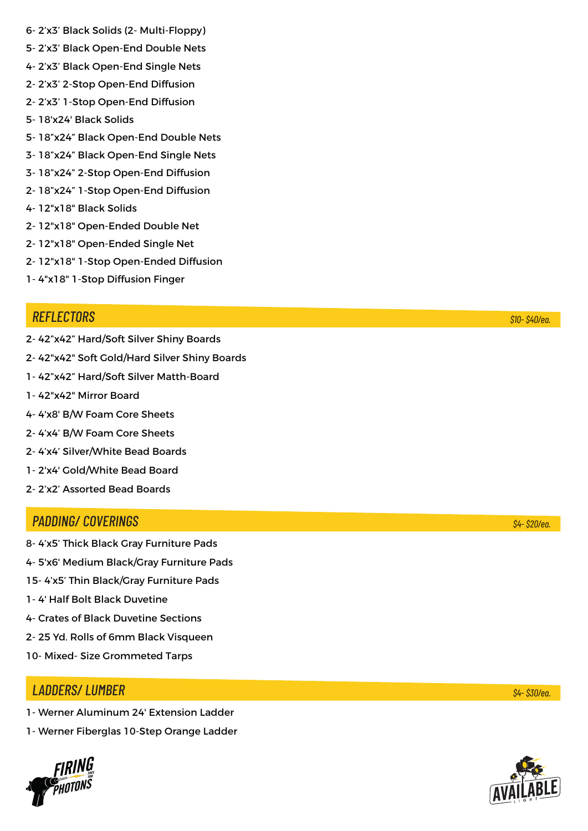- 6- 2'x3' Black Solids (2- Multi-Floppy)
- 5- 2'x3' Black Open-End Double Nets
- 4- 2'x3' Black Open-End Single Nets
- 2- 2'x3' 2-Stop Open-End Diffusion
- 2- 2'x3' 1-Stop Open-End Diffusion
- 5- 18'x24' Black Solids
- 5- 18"x24" Black Open-End Double Nets
- 3- 18"x24" Black Open-End Single Nets
- 3- 18"x24" 2-Stop Open-End Diffusion
- 2- 18"x24" 1-Stop Open-End Diffusion
- 4- 12"x18" Black Solids
- 2- 12"x18" Open-Ended Double Net
- 2- 12"x18" Open-Ended Single Net
- 2- 12"x18" 1-Stop Open-Ended Diffusion
- 1- 4"x18" 1-Stop Diffusion Finger

#### *REFLECTORS*

- 2- 42"x42" Hard/Soft Silver Shiny Boards
- 2- 42"x42" Soft Gold/Hard Silver Shiny Boards
- 1- 42"x42" Hard/Soft Silver Matth-Board
- 1- 42"x42" Mirror Board
- 4- 4'x8' B/W Foam Core Sheets
- 2- 4'x4' B/W Foam Core Sheets
- 2- 4'x4' Silver/White Bead Boards
- 1- 2'x4' Gold/White Bead Board
- 2- 2'x2' Assorted Bead Boards

#### *PADDING/ COVERINGS*

- 8- 4'x5' Thick Black Gray Furniture Pads
- 4- 5'x6' Medium Black/Gray Furniture Pads
- 15- 4'x5' Thin Black/Gray Furniture Pads
- 1- 4' Half Bolt Black Duvetine
- 4- Crates of Black Duvetine Sections
- 2- 25 Yd. Rolls of 6mm Black Visqueen
- 10- Mixed- Size Grommeted Tarps

#### *LADDERS/ LUMBER*

- 1- Werner Aluminum 24' Extension Ladder
- 1- Werner Fiberglas 10-Step Orange Ladder



*\$10- \$40/ea.*

#### *\$4- \$20/ea.*

*\$4- \$30/ea.*

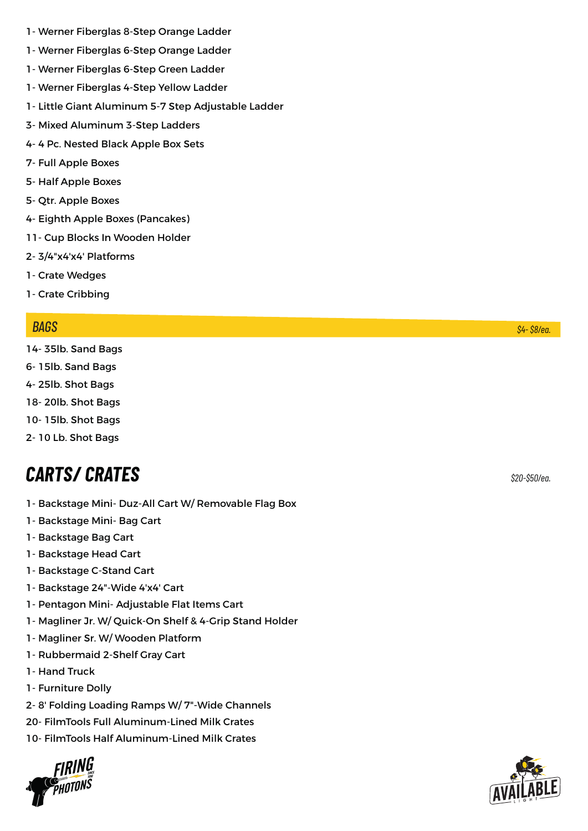- 1- Werner Fiberglas 8-Step Orange Ladder
- 1- Werner Fiberglas 6-Step Orange Ladder
- 1- Werner Fiberglas 6-Step Green Ladder
- 1- Werner Fiberglas 4-Step Yellow Ladder
- 1- Little Giant Aluminum 5-7 Step Adjustable Ladder
- 3- Mixed Aluminum 3-Step Ladders
- 4- 4 Pc. Nested Black Apple Box Sets
- 7- Full Apple Boxes
- 5- Half Apple Boxes
- 5- Qtr. Apple Boxes
- 4- Eighth Apple Boxes (Pancakes)
- 11- Cup Blocks In Wooden Holder
- 2- 3/4"x4'x4' Platforms
- 1- Crate Wedges
- 1- Crate Cribbing

#### *BAGS*

- 14- 35lb. Sand Bags
- 6- 15lb. Sand Bags
- 4- 25lb. Shot Bags
- 18- 20lb. Shot Bags
- 10- 15lb. Shot Bags
- 2- 10 Lb. Shot Bags

# *CARTS/ CRATES \$20-\$50/ea.*

- 1- Backstage Mini- Duz-All Cart W/ Removable Flag Box
- 1- Backstage Mini- Bag Cart
- 1- Backstage Bag Cart
- 1- Backstage Head Cart
- 1- Backstage C-Stand Cart
- 1- Backstage 24"-Wide 4'x4' Cart
- 1- Pentagon Mini- Adjustable Flat Items Cart
- 1- Magliner Jr. W/ Quick-On Shelf & 4-Grip Stand Holder
- 1- Magliner Sr. W/ Wooden Platform
- 1- Rubbermaid 2-Shelf Gray Cart
- 1- Hand Truck
- 1- Furniture Dolly
- 2- 8' Folding Loading Ramps W/ 7"-Wide Channels
- 20- FilmTools Full Aluminum-Lined Milk Crates
- 10- FilmTools Half Aluminum-Lined Milk Crates





*\$4- \$8/ea.*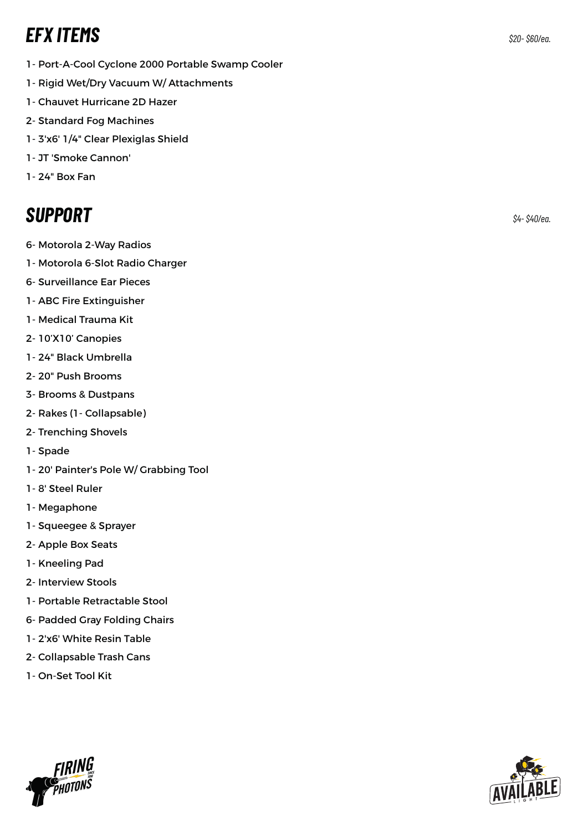# *EFX ITEMS \$20- \$60/ea.*

- 1- Port-A-Cool Cyclone 2000 Portable Swamp Cooler
- 1- Rigid Wet/Dry Vacuum W/ Attachments
- 1- Chauvet Hurricane 2D Hazer
- 2- Standard Fog Machines
- 1- 3'x6' 1/4" Clear Plexiglas Shield
- 1- JT 'Smoke Cannon'
- 1- 24" Box Fan

# *SUPPORT \$4- \$40/ea.*

- 6- Motorola 2-Way Radios
- 1- Motorola 6-Slot Radio Charger
- 6- Surveillance Ear Pieces
- 1- ABC Fire Extinguisher
- 1- Medical Trauma Kit
- 2- 10'X10' Canopies
- 1- 24" Black Umbrella
- 2- 20" Push Brooms
- 3- Brooms & Dustpans
- 2- Rakes (1- Collapsable)
- 2- Trenching Shovels
- 1- Spade
- 1- 20' Painter's Pole W/ Grabbing Tool
- 1- 8' Steel Ruler
- 1- Megaphone
- 1- Squeegee & Sprayer
- 2- Apple Box Seats
- 1- Kneeling Pad
- 2- Interview Stools
- 1- Portable Retractable Stool
- 6- Padded Gray Folding Chairs
- 1- 2'x6' White Resin Table
- 2- Collapsable Trash Cans
- 1- On-Set Tool Kit

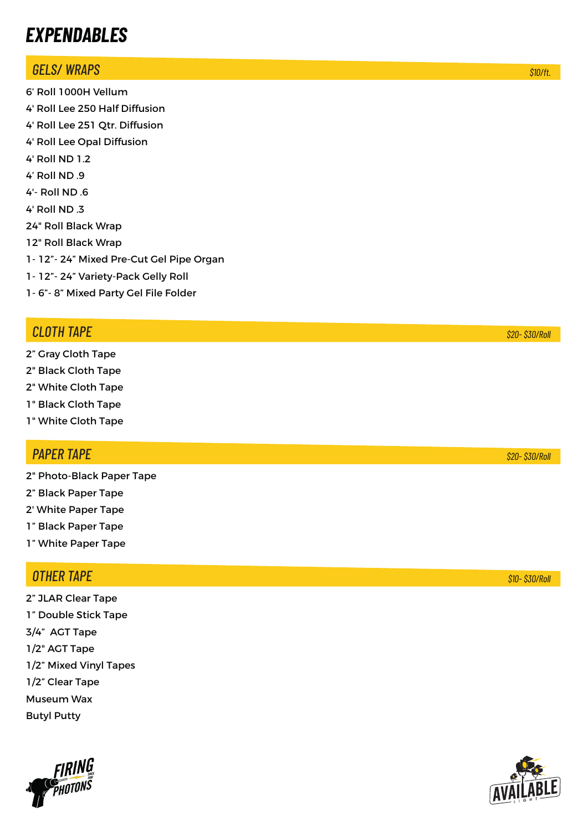# *EXPENDABLES*

### *GELS/ WRAPS*

6' Roll 1000H Vellum 4' Roll Lee 250 Half Diffusion 4' Roll Lee 251 Qtr. Diffusion 4' Roll Lee Opal Diffusion 4' Roll ND 1.2 4' Roll ND .9 4'- Roll ND .6 4' Roll ND .3 24" Roll Black Wrap 12" Roll Black Wrap 1- 12"- 24" Mixed Pre-Cut Gel Pipe Organ 1- 12"- 24" Variety-Pack Gelly Roll 1- 6"- 8" Mixed Party Gel File Folder

### *CLOTH TAPE*

- 2" Gray Cloth Tape
- 2" Black Cloth Tape
- 2" White Cloth Tape
- 1" Black Cloth Tape
- 1" White Cloth Tape

### *PAPER TAPE*

- 2" Photo-Black Paper Tape
- 2" Black Paper Tape
- 2' White Paper Tape
- 1" Black Paper Tape
- 1" White Paper Tape

### *OTHER TAPE*

2" JLAR Clear Tape 1" Double Stick Tape 3/4" AGT Tape 1/2" AGT Tape 1/2" Mixed Vinyl Tapes 1/2" Clear Tape Museum Wax Butyl Putty



*\$10- \$30/Roll*

*\$20- \$30/Roll*



*\$20- \$30/Roll*